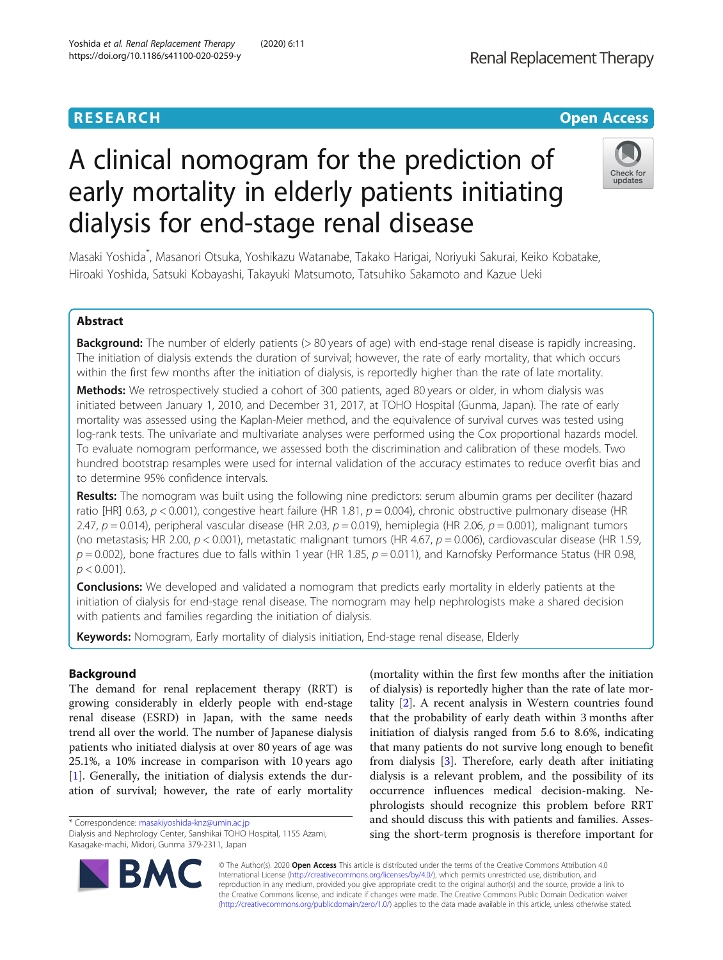# Renal Replacement Therapy

## Check for undates



A clinical nomogram for the prediction of

Masaki Yoshida\* , Masanori Otsuka, Yoshikazu Watanabe, Takako Harigai, Noriyuki Sakurai, Keiko Kobatake, Hiroaki Yoshida, Satsuki Kobayashi, Takayuki Matsumoto, Tatsuhiko Sakamoto and Kazue Ueki

## Abstract

Background: The number of elderly patients (>80 years of age) with end-stage renal disease is rapidly increasing. The initiation of dialysis extends the duration of survival; however, the rate of early mortality, that which occurs within the first few months after the initiation of dialysis, is reportedly higher than the rate of late mortality.

Methods: We retrospectively studied a cohort of 300 patients, aged 80 years or older, in whom dialysis was initiated between January 1, 2010, and December 31, 2017, at TOHO Hospital (Gunma, Japan). The rate of early mortality was assessed using the Kaplan-Meier method, and the equivalence of survival curves was tested using log-rank tests. The univariate and multivariate analyses were performed using the Cox proportional hazards model. To evaluate nomogram performance, we assessed both the discrimination and calibration of these models. Two hundred bootstrap resamples were used for internal validation of the accuracy estimates to reduce overfit bias and to determine 95% confidence intervals.

Results: The nomogram was built using the following nine predictors: serum albumin grams per deciliter (hazard ratio [HR] 0.63,  $p < 0.001$ ), congestive heart failure (HR 1.81,  $p = 0.004$ ), chronic obstructive pulmonary disease (HR 2.47,  $p = 0.014$ ), peripheral vascular disease (HR 2.03,  $p = 0.019$ ), hemiplegia (HR 2.06,  $p = 0.001$ ), malignant tumors (no metastasis; HR 2.00,  $p < 0.001$ ), metastatic malignant tumors (HR 4.67,  $p = 0.006$ ), cardiovascular disease (HR 1.59,  $p = 0.002$ ), bone fractures due to falls within 1 year (HR 1.85,  $p = 0.011$ ), and Karnofsky Performance Status (HR 0.98,  $p < 0.001$ ).

**Conclusions:** We developed and validated a nomogram that predicts early mortality in elderly patients at the initiation of dialysis for end-stage renal disease. The nomogram may help nephrologists make a shared decision with patients and families regarding the initiation of dialysis.

Keywords: Nomogram, Early mortality of dialysis initiation, End-stage renal disease, Elderly

### Background

The demand for renal replacement therapy (RRT) is growing considerably in elderly people with end-stage renal disease (ESRD) in Japan, with the same needs trend all over the world. The number of Japanese dialysis patients who initiated dialysis at over 80 years of age was 25.1%, a 10% increase in comparison with 10 years ago [[1\]](#page-8-0). Generally, the initiation of dialysis extends the duration of survival; however, the rate of early mortality

\* Correspondence: [masakiyoshida-knz@umin.ac.jp](mailto:masakiyoshida-knz@umin.ac.jp)

(mortality within the first few months after the initiation of dialysis) is reportedly higher than the rate of late mortality [\[2](#page-8-0)]. A recent analysis in Western countries found that the probability of early death within 3 months after initiation of dialysis ranged from 5.6 to 8.6%, indicating that many patients do not survive long enough to benefit from dialysis [\[3\]](#page-8-0). Therefore, early death after initiating dialysis is a relevant problem, and the possibility of its occurrence influences medical decision-making. Nephrologists should recognize this problem before RRT and should discuss this with patients and families. Assessing the short-term prognosis is therefore important for



© The Author(s). 2020 Open Access This article is distributed under the terms of the Creative Commons Attribution 4.0 International License [\(http://creativecommons.org/licenses/by/4.0/](http://creativecommons.org/licenses/by/4.0/)), which permits unrestricted use, distribution, and reproduction in any medium, provided you give appropriate credit to the original author(s) and the source, provide a link to the Creative Commons license, and indicate if changes were made. The Creative Commons Public Domain Dedication waiver [\(http://creativecommons.org/publicdomain/zero/1.0/](http://creativecommons.org/publicdomain/zero/1.0/)) applies to the data made available in this article, unless otherwise stated.

Dialysis and Nephrology Center, Sanshikai TOHO Hospital, 1155 Azami, Kasagake-machi, Midori, Gunma 379-2311, Japan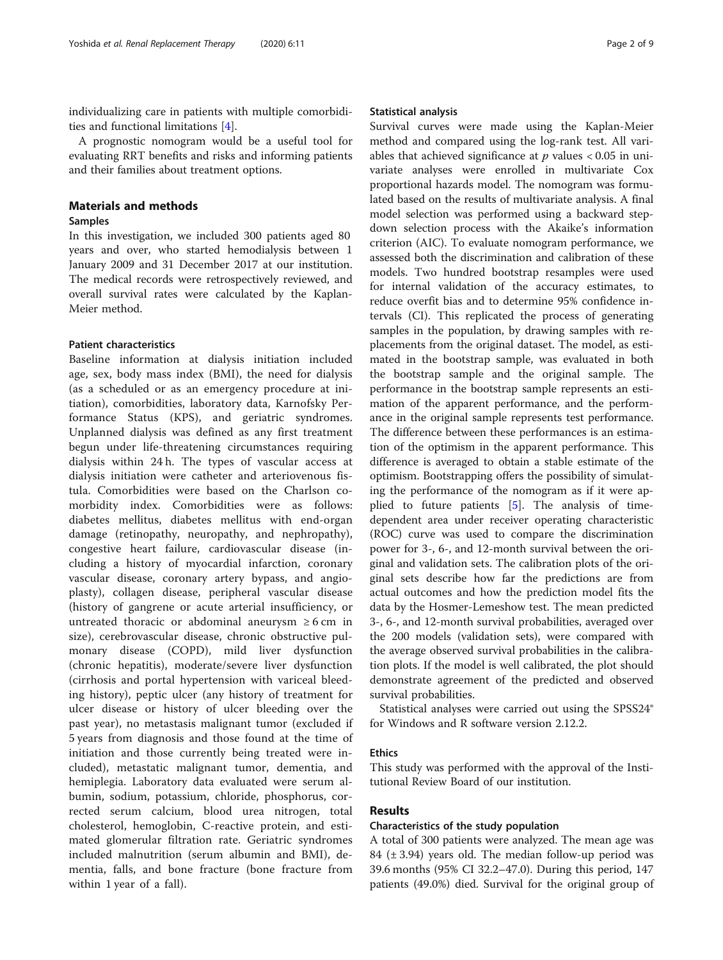individualizing care in patients with multiple comorbidities and functional limitations [\[4](#page-8-0)].

A prognostic nomogram would be a useful tool for evaluating RRT benefits and risks and informing patients and their families about treatment options.

#### Materials and methods

#### Samples

In this investigation, we included 300 patients aged 80 years and over, who started hemodialysis between 1 January 2009 and 31 December 2017 at our institution. The medical records were retrospectively reviewed, and overall survival rates were calculated by the Kaplan-Meier method.

#### Patient characteristics

Baseline information at dialysis initiation included age, sex, body mass index (BMI), the need for dialysis (as a scheduled or as an emergency procedure at initiation), comorbidities, laboratory data, Karnofsky Performance Status (KPS), and geriatric syndromes. Unplanned dialysis was defined as any first treatment begun under life-threatening circumstances requiring dialysis within 24 h. The types of vascular access at dialysis initiation were catheter and arteriovenous fistula. Comorbidities were based on the Charlson comorbidity index. Comorbidities were as follows: diabetes mellitus, diabetes mellitus with end-organ damage (retinopathy, neuropathy, and nephropathy), congestive heart failure, cardiovascular disease (including a history of myocardial infarction, coronary vascular disease, coronary artery bypass, and angioplasty), collagen disease, peripheral vascular disease (history of gangrene or acute arterial insufficiency, or untreated thoracic or abdominal aneurysm  $\geq 6$  cm in size), cerebrovascular disease, chronic obstructive pulmonary disease (COPD), mild liver dysfunction (chronic hepatitis), moderate/severe liver dysfunction (cirrhosis and portal hypertension with variceal bleeding history), peptic ulcer (any history of treatment for ulcer disease or history of ulcer bleeding over the past year), no metastasis malignant tumor (excluded if 5 years from diagnosis and those found at the time of initiation and those currently being treated were included), metastatic malignant tumor, dementia, and hemiplegia. Laboratory data evaluated were serum albumin, sodium, potassium, chloride, phosphorus, corrected serum calcium, blood urea nitrogen, total cholesterol, hemoglobin, C-reactive protein, and estimated glomerular filtration rate. Geriatric syndromes included malnutrition (serum albumin and BMI), dementia, falls, and bone fracture (bone fracture from within 1 year of a fall).

#### Statistical analysis

Survival curves were made using the Kaplan-Meier method and compared using the log-rank test. All variables that achieved significance at  $p$  values  $< 0.05$  in univariate analyses were enrolled in multivariate Cox proportional hazards model. The nomogram was formulated based on the results of multivariate analysis. A final model selection was performed using a backward stepdown selection process with the Akaike's information criterion (AIC). To evaluate nomogram performance, we assessed both the discrimination and calibration of these models. Two hundred bootstrap resamples were used for internal validation of the accuracy estimates, to reduce overfit bias and to determine 95% confidence intervals (CI). This replicated the process of generating samples in the population, by drawing samples with replacements from the original dataset. The model, as estimated in the bootstrap sample, was evaluated in both the bootstrap sample and the original sample. The performance in the bootstrap sample represents an estimation of the apparent performance, and the performance in the original sample represents test performance. The difference between these performances is an estimation of the optimism in the apparent performance. This difference is averaged to obtain a stable estimate of the optimism. Bootstrapping offers the possibility of simulating the performance of the nomogram as if it were applied to future patients  $[5]$  $[5]$ . The analysis of timedependent area under receiver operating characteristic (ROC) curve was used to compare the discrimination power for 3-, 6-, and 12-month survival between the original and validation sets. The calibration plots of the original sets describe how far the predictions are from actual outcomes and how the prediction model fits the data by the Hosmer-Lemeshow test. The mean predicted 3-, 6-, and 12-month survival probabilities, averaged over the 200 models (validation sets), were compared with the average observed survival probabilities in the calibration plots. If the model is well calibrated, the plot should demonstrate agreement of the predicted and observed survival probabilities.

Statistical analyses were carried out using the SPSS24® for Windows and R software version 2.12.2.

#### Ethics

This study was performed with the approval of the Institutional Review Board of our institution.

#### Results

#### Characteristics of the study population

A total of 300 patients were analyzed. The mean age was 84 ( $\pm$  3.94) years old. The median follow-up period was 39.6 months (95% CI 32.2–47.0). During this period, 147 patients (49.0%) died. Survival for the original group of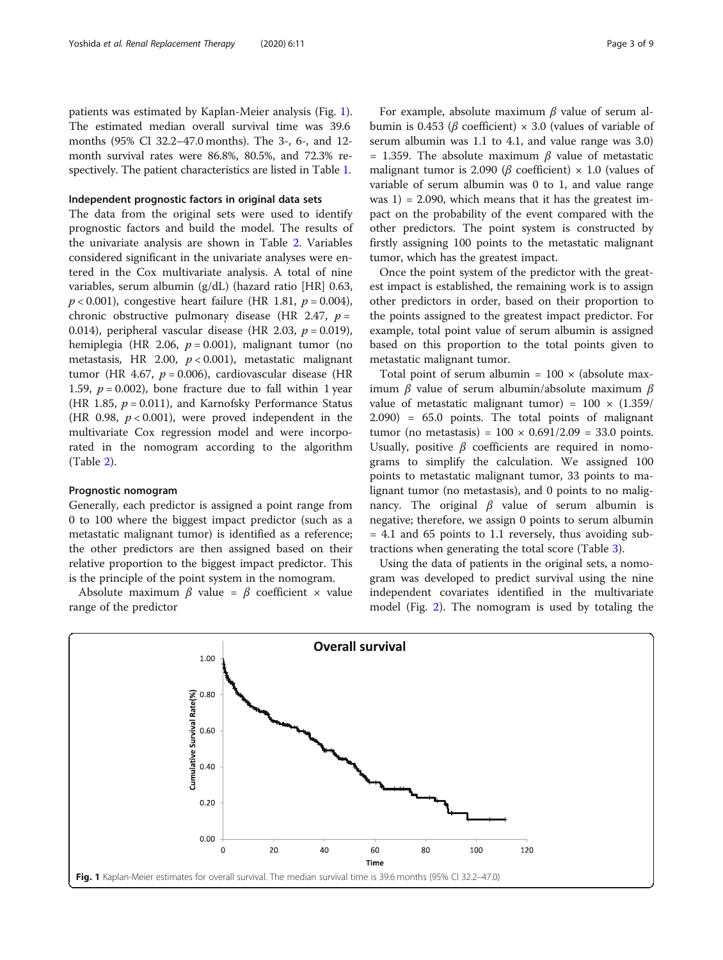patients was estimated by Kaplan-Meier analysis (Fig. 1). The estimated median overall survival time was 39.6 months (95% CI 32.2–47.0 months). The 3-, 6-, and 12 month survival rates were 86.8%, 80.5%, and 72.3% respectively. The patient characteristics are listed in Table [1](#page-3-0).

#### Independent prognostic factors in original data sets

The data from the original sets were used to identify prognostic factors and build the model. The results of the univariate analysis are shown in Table [2](#page-4-0). Variables considered significant in the univariate analyses were entered in the Cox multivariate analysis. A total of nine variables, serum albumin (g/dL) (hazard ratio [HR] 0.63,  $p < 0.001$ ), congestive heart failure (HR 1.81,  $p = 0.004$ ), chronic obstructive pulmonary disease (HR 2.47,  $p =$ 0.014), peripheral vascular disease (HR 2.03,  $p = 0.019$ ), hemiplegia (HR 2.06,  $p = 0.001$ ), malignant tumor (no metastasis, HR 2.00,  $p < 0.001$ ), metastatic malignant tumor (HR 4.67,  $p = 0.006$ ), cardiovascular disease (HR 1.59,  $p = 0.002$ ), bone fracture due to fall within 1 year (HR 1.85,  $p = 0.011$ ), and Karnofsky Performance Status (HR 0.98,  $p < 0.001$ ), were proved independent in the multivariate Cox regression model and were incorporated in the nomogram according to the algorithm (Table [2\)](#page-4-0).

#### Prognostic nomogram

Generally, each predictor is assigned a point range from 0 to 100 where the biggest impact predictor (such as a metastatic malignant tumor) is identified as a reference; the other predictors are then assigned based on their relative proportion to the biggest impact predictor. This is the principle of the point system in the nomogram.

Absolute maximum  $\beta$  value =  $\beta$  coefficient  $\times$  value range of the predictor

For example, absolute maximum  $\beta$  value of serum albumin is 0.453 ( $\beta$  coefficient)  $\times$  3.0 (values of variable of serum albumin was 1.1 to 4.1, and value range was 3.0) = 1.359. The absolute maximum  $\beta$  value of metastatic malignant tumor is 2.090 ( $\beta$  coefficient)  $\times$  1.0 (values of variable of serum albumin was 0 to 1, and value range was  $1$ ) = 2.090, which means that it has the greatest impact on the probability of the event compared with the other predictors. The point system is constructed by firstly assigning 100 points to the metastatic malignant tumor, which has the greatest impact.

Once the point system of the predictor with the greatest impact is established, the remaining work is to assign other predictors in order, based on their proportion to the points assigned to the greatest impact predictor. For example, total point value of serum albumin is assigned based on this proportion to the total points given to metastatic malignant tumor.

Total point of serum albumin =  $100 \times$  (absolute maximum β value of serum albumin/absolute maximum β value of metastatic malignant tumor) =  $100 \times (1.359)$ 2.090) = 65.0 points. The total points of malignant tumor (no metastasis) =  $100 \times 0.691/2.09 = 33.0$  points. Usually, positive  $\beta$  coefficients are required in nomograms to simplify the calculation. We assigned 100 points to metastatic malignant tumor, 33 points to malignant tumor (no metastasis), and 0 points to no malignancy. The original  $β$  value of serum albumin is negative; therefore, we assign 0 points to serum albumin  $= 4.1$  and 65 points to 1.1 reversely, thus avoiding subtractions when generating the total score (Table [3\)](#page-5-0).

Using the data of patients in the original sets, a nomogram was developed to predict survival using the nine independent covariates identified in the multivariate model (Fig. [2\)](#page-6-0). The nomogram is used by totaling the

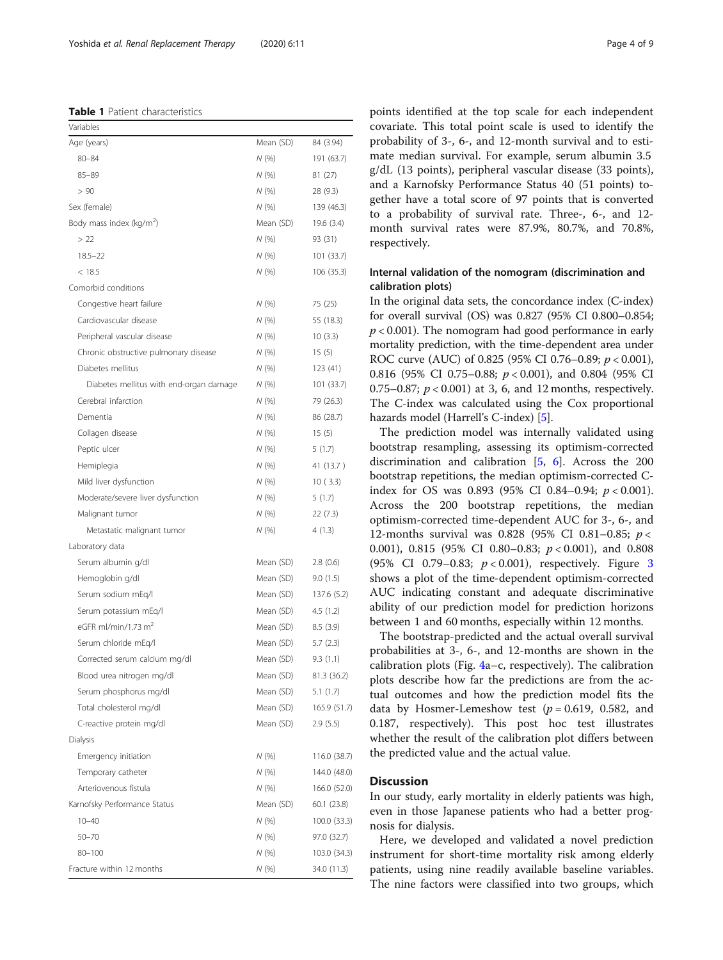<span id="page-3-0"></span>

| Variables                               |           |              |
|-----------------------------------------|-----------|--------------|
| Age (years)                             | Mean (SD) | 84 (3.94)    |
| $80 - 84$                               | N(96)     | 191 (63.7)   |
| $85 - 89$                               | N(96)     | 81(27)       |
| > 90                                    | N (%)     | 28 (9.3)     |
| Sex (female)                            | N (%)     | 139 (46.3)   |
| Body mass index (kg/m <sup>2</sup> )    | Mean (SD) | 19.6 (3.4)   |
| >22                                     | N(96)     | 93 (31)      |
| $18.5 - 22$                             | N (%)     | 101 (33.7)   |
| < 18.5                                  | N (%)     | 106 (35.3)   |
| Comorbid conditions                     |           |              |
| Congestive heart failure                | N(96)     | 75 (25)      |
| Cardiovascular disease                  | N (%)     | 55 (18.3)    |
| Peripheral vascular disease             | N(%)      | 10(3.3)      |
| Chronic obstructive pulmonary disease   | N(%)      | 15(5)        |
| Diabetes mellitus                       | N(% )     | 123 (41)     |
| Diabetes mellitus with end-organ damage | N (%)     | 101 (33.7)   |
| Cerebral infarction                     | N (%)     | 79 (26.3)    |
| Dementia                                | N (%)     | 86 (28.7)    |
| Collagen disease                        | N(96)     | 15(5)        |
| Peptic ulcer                            | N(96)     | 5(1.7)       |
| Hemiplegia                              | N (%)     | 41 (13.7)    |
| Mild liver dysfunction                  | N (%)     | 10(3.3)      |
| Moderate/severe liver dysfunction       | N(%)      | 5(1.7)       |
| Malignant tumor                         | N (%)     | 22(7.3)      |
| Metastatic malignant tumor              | N (%)     | 4(1.3)       |
| Laboratory data                         |           |              |
| Serum albumin g/dl                      | Mean (SD) | 2.8(0.6)     |
| Hemoglobin g/dl                         | Mean (SD) | 9.0(1.5)     |
| Serum sodium mEq/l                      | Mean (SD) | 137.6 (5.2)  |
| Serum potassium mEq/l                   | Mean (SD) | 4.5(1.2)     |
| eGFR ml/min/1.73 $m2$                   | Mean (SD) | 8.5(3.9)     |
| Serum chloride mEq/l                    | Mean (SD) | 5.7 (2.3)    |
| Corrected serum calcium mg/dl           | Mean (SD) | 9.3 (1.1)    |
| Blood urea nitrogen mg/dl               | Mean (SD) | 81.3 (36.2)  |
| Serum phosphorus mg/dl                  | Mean (SD) | 5.1(1.7)     |
| Total cholesterol mg/dl                 | Mean (SD) | 165.9 (51.7) |
| C-reactive protein mg/dl                | Mean (SD) | 2.9 (5.5)    |
| Dialysis                                |           |              |
| Emergency initiation                    | N (%)     | 116.0 (38.7) |
| Temporary catheter                      | N (%)     | 144.0 (48.0) |
| Arteriovenous fistula                   | N (%)     | 166.0 (52.0) |
| Karnofsky Performance Status            | Mean (SD) | 60.1 (23.8)  |
| $10 - 40$                               | N(96)     | 100.0 (33.3) |
| $50 - 70$                               | N (%)     | 97.0 (32.7)  |
| $80 - 100$                              | N (%)     | 103.0 (34.3) |
| Fracture within 12 months               | N (%)     | 34.0 (11.3)  |

points identified at the top scale for each independent covariate. This total point scale is used to identify the probability of 3-, 6-, and 12-month survival and to estimate median survival. For example, serum albumin 3.5 g/dL (13 points), peripheral vascular disease (33 points), and a Karnofsky Performance Status 40 (51 points) together have a total score of 97 points that is converted to a probability of survival rate. Three-, 6-, and 12 month survival rates were 87.9%, 80.7%, and 70.8%, respectively.

#### Internal validation of the nomogram (discrimination and calibration plots)

In the original data sets, the concordance index (C-index) for overall survival (OS) was 0.827 (95% CI 0.800–0.854;  $p < 0.001$ ). The nomogram had good performance in early mortality prediction, with the time-dependent area under ROC curve (AUC) of 0.825 (95% CI 0.76–0.89; p < 0.001), 0.816 (95% CI 0.75–0.88; p < 0.001), and 0.804 (95% CI 0.75–0.87;  $p < 0.001$ ) at 3, 6, and 12 months, respectively. The C-index was calculated using the Cox proportional hazards model (Harrell's C-index) [[5\]](#page-8-0).

The prediction model was internally validated using bootstrap resampling, assessing its optimism-corrected discrimination and calibration [[5,](#page-8-0) [6\]](#page-8-0). Across the 200 bootstrap repetitions, the median optimism-corrected Cindex for OS was 0.893 (95% CI 0.84-0.94;  $p < 0.001$ ). Across the 200 bootstrap repetitions, the median optimism-corrected time-dependent AUC for 3-, 6-, and 12-months survival was 0.828 (95% CI 0.81–0.85; p < 0.001), 0.815 (95% CI 0.80–0.83; p < 0.001), and 0.808 (95% CI 0.79–0.8[3](#page-6-0);  $p < 0.001$ ), respectively. Figure 3 shows a plot of the time-dependent optimism-corrected AUC indicating constant and adequate discriminative ability of our prediction model for prediction horizons between 1 and 60 months, especially within 12 months.

The bootstrap-predicted and the actual overall survival probabilities at 3-, 6-, and 12-months are shown in the calibration plots (Fig. [4a](#page-7-0)–c, respectively). The calibration plots describe how far the predictions are from the actual outcomes and how the prediction model fits the data by Hosmer-Lemeshow test  $(p = 0.619, 0.582,$  and 0.187, respectively). This post hoc test illustrates whether the result of the calibration plot differs between the predicted value and the actual value.

#### **Discussion**

In our study, early mortality in elderly patients was high, even in those Japanese patients who had a better prognosis for dialysis.

Here, we developed and validated a novel prediction instrument for short-time mortality risk among elderly patients, using nine readily available baseline variables. The nine factors were classified into two groups, which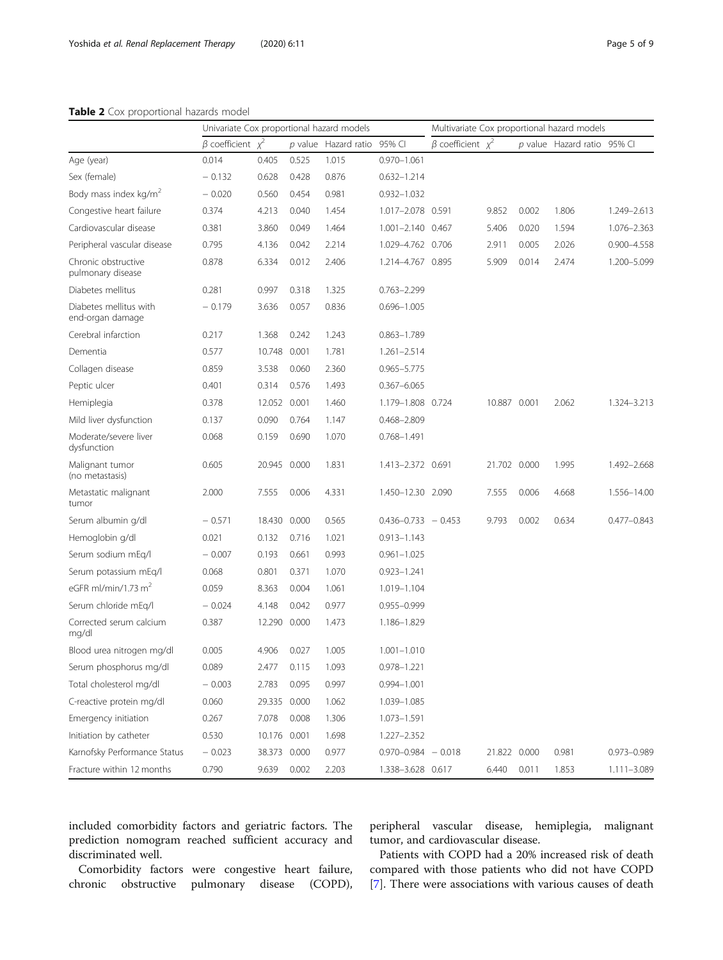#### <span id="page-4-0"></span>Table 2 Cox proportional hazards model

|                                            | Univariate Cox proportional hazard models |              |       |                        | Multivariate Cox proportional hazard models |                              |              |       |                             |                 |
|--------------------------------------------|-------------------------------------------|--------------|-------|------------------------|---------------------------------------------|------------------------------|--------------|-------|-----------------------------|-----------------|
|                                            | $\beta$ coefficient                       | $x^2$        |       | $p$ value Hazard ratio | 95% CI                                      | $\beta$ coefficient $\chi^2$ |              |       | p value Hazard ratio 95% CI |                 |
| Age (year)                                 | 0.014                                     | 0.405        | 0.525 | 1.015                  | $0.970 - 1.061$                             |                              |              |       |                             |                 |
| Sex (female)                               | $-0.132$                                  | 0.628        | 0.428 | 0.876                  | $0.632 - 1.214$                             |                              |              |       |                             |                 |
| Body mass index kg/m <sup>2</sup>          | $-0.020$                                  | 0.560        | 0.454 | 0.981                  | $0.932 - 1.032$                             |                              |              |       |                             |                 |
| Congestive heart failure                   | 0.374                                     | 4.213        | 0.040 | 1.454                  | 1.017-2.078 0.591                           |                              | 9.852        | 0.002 | 1.806                       | 1.249-2.613     |
| Cardiovascular disease                     | 0.381                                     | 3.860        | 0.049 | 1.464                  | 1.001-2.140 0.467                           |                              | 5.406        | 0.020 | 1.594                       | 1.076-2.363     |
| Peripheral vascular disease                | 0.795                                     | 4.136        | 0.042 | 2.214                  | 1.029-4.762 0.706                           |                              | 2.911        | 0.005 | 2.026                       | $0.900 - 4.558$ |
| Chronic obstructive<br>pulmonary disease   | 0.878                                     | 6.334        | 0.012 | 2.406                  | 1.214-4.767 0.895                           |                              | 5.909        | 0.014 | 2.474                       | 1.200-5.099     |
| Diabetes mellitus                          | 0.281                                     | 0.997        | 0.318 | 1.325                  | $0.763 - 2.299$                             |                              |              |       |                             |                 |
| Diabetes mellitus with<br>end-organ damage | $-0.179$                                  | 3.636        | 0.057 | 0.836                  | $0.696 - 1.005$                             |                              |              |       |                             |                 |
| Cerebral infarction                        | 0.217                                     | 1.368        | 0.242 | 1.243                  | $0.863 - 1.789$                             |                              |              |       |                             |                 |
| Dementia                                   | 0.577                                     | 10.748 0.001 |       | 1.781                  | $1.261 - 2.514$                             |                              |              |       |                             |                 |
| Collagen disease                           | 0.859                                     | 3.538        | 0.060 | 2.360                  | $0.965 - 5.775$                             |                              |              |       |                             |                 |
| Peptic ulcer                               | 0.401                                     | 0.314        | 0.576 | 1.493                  | $0.367 - 6.065$                             |                              |              |       |                             |                 |
| Hemiplegia                                 | 0.378                                     | 12.052 0.001 |       | 1.460                  | 1.179-1.808 0.724                           |                              | 10.887 0.001 |       | 2.062                       | 1.324-3.213     |
| Mild liver dysfunction                     | 0.137                                     | 0.090        | 0.764 | 1.147                  | $0.468 - 2.809$                             |                              |              |       |                             |                 |
| Moderate/severe liver<br>dysfunction       | 0.068                                     | 0.159        | 0.690 | 1.070                  | $0.768 - 1.491$                             |                              |              |       |                             |                 |
| Malignant tumor<br>(no metastasis)         | 0.605                                     | 20.945 0.000 |       | 1.831                  | 1.413-2.372 0.691                           |                              | 21.702 0.000 |       | 1.995                       | 1.492-2.668     |
| Metastatic malignant<br>tumor              | 2.000                                     | 7.555        | 0.006 | 4.331                  | 1.450-12.30 2.090                           |                              | 7.555        | 0.006 | 4.668                       | 1.556-14.00     |
| Serum albumin g/dl                         | $-0.571$                                  | 18.430 0.000 |       | 0.565                  | $0.436 - 0.733 - 0.453$                     |                              | 9.793        | 0.002 | 0.634                       | 0.477-0.843     |
| Hemoglobin g/dl                            | 0.021                                     | 0.132        | 0.716 | 1.021                  | $0.913 - 1.143$                             |                              |              |       |                             |                 |
| Serum sodium mEg/l                         | $-0.007$                                  | 0.193        | 0.661 | 0.993                  | $0.961 - 1.025$                             |                              |              |       |                             |                 |
| Serum potassium mEq/l                      | 0.068                                     | 0.801        | 0.371 | 1.070                  | $0.923 - 1.241$                             |                              |              |       |                             |                 |
| eGFR ml/min/1.73 m <sup>2</sup>            | 0.059                                     | 8.363        | 0.004 | 1.061                  | 1.019-1.104                                 |                              |              |       |                             |                 |
| Serum chloride mEg/l                       | $-0.024$                                  | 4.148        | 0.042 | 0.977                  | $0.955 - 0.999$                             |                              |              |       |                             |                 |
| Corrected serum calcium<br>mg/dl           | 0.387                                     | 12.290 0.000 |       | 1.473                  | 1.186-1.829                                 |                              |              |       |                             |                 |
| Blood urea nitrogen mg/dl                  | 0.005                                     | 4.906        | 0.027 | 1.005                  | $1.001 - 1.010$                             |                              |              |       |                             |                 |
| Serum phosphorus mg/dl                     | 0.089                                     | 2.477        | 0.115 | 1.093                  | 0.978-1.221                                 |                              |              |       |                             |                 |
| Total cholesterol mg/dl                    | $-0.003$                                  | 2.783        | 0.095 | 0.997                  | $0.994 - 1.001$                             |                              |              |       |                             |                 |
| C-reactive protein mg/dl                   | 0.060                                     | 29.335 0.000 |       | 1.062                  | 1.039-1.085                                 |                              |              |       |                             |                 |
| Emergency initiation                       | 0.267                                     | 7.078        | 0.008 | 1.306                  | 1.073-1.591                                 |                              |              |       |                             |                 |
| Initiation by catheter                     | 0.530                                     | 10.176 0.001 |       | 1.698                  | 1.227-2.352                                 |                              |              |       |                             |                 |
| Karnofsky Performance Status               | $-0.023$                                  | 38.373 0.000 |       | 0.977                  | $0.970 - 0.984 - 0.018$                     |                              | 21.822 0.000 |       | 0.981                       | 0.973-0.989     |
| Fracture within 12 months                  | 0.790                                     | 9.639        | 0.002 | 2.203                  | 1.338-3.628 0.617                           |                              | 6.440        | 0.011 | 1.853                       | 1.111-3.089     |

included comorbidity factors and geriatric factors. The prediction nomogram reached sufficient accuracy and discriminated well.

Comorbidity factors were congestive heart failure, chronic obstructive pulmonary disease (COPD),

peripheral vascular disease, hemiplegia, malignant tumor, and cardiovascular disease.

Patients with COPD had a 20% increased risk of death compared with those patients who did not have COPD [[7\]](#page-8-0). There were associations with various causes of death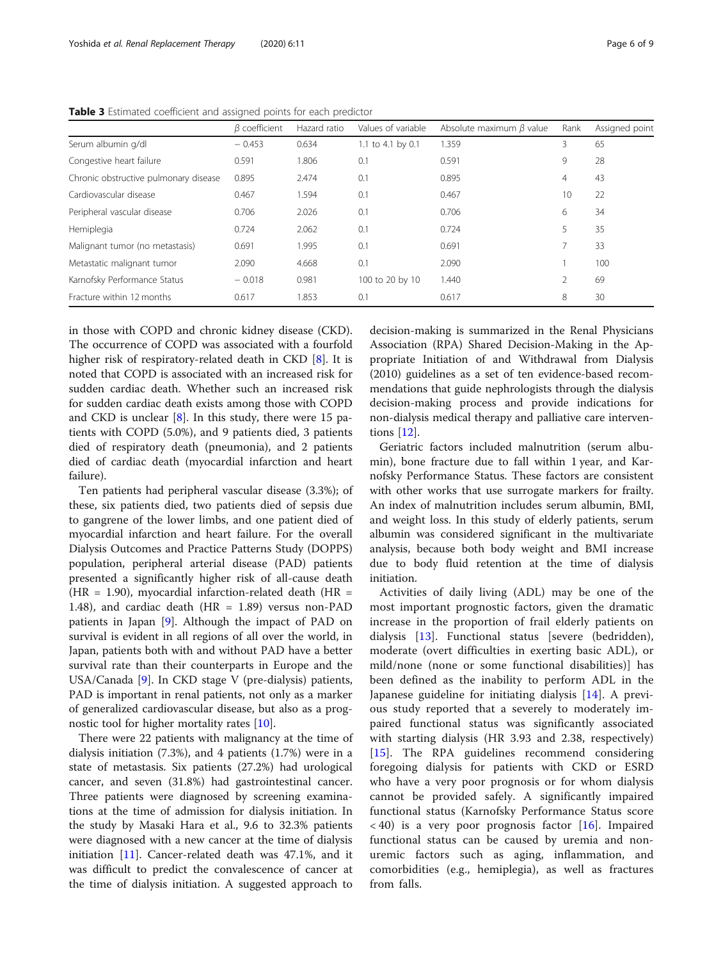|                                       | $\beta$ coefficient | Hazard ratio | Values of variable | Absolute maximum $\beta$ value | Rank | Assigned point |
|---------------------------------------|---------------------|--------------|--------------------|--------------------------------|------|----------------|
| Serum albumin g/dl                    | $-0.453$            | 0.634        | 1.1 to 4.1 by 0.1  | 1.359                          | 3    | 65             |
| Congestive heart failure              | 0.591               | 1.806        | 0.1                | 0.591                          | 9    | 28             |
| Chronic obstructive pulmonary disease | 0.895               | 2.474        | 0.1                | 0.895                          | 4    | 43             |
| Cardiovascular disease                | 0.467               | 1.594        | 0.1                | 0.467                          | 10   | 22             |
| Peripheral vascular disease           | 0.706               | 2.026        | 0.1                | 0.706                          | 6    | 34             |
| Hemiplegia                            | 0.724               | 2.062        | 0.1                | 0.724                          | 5    | 35             |
| Malignant tumor (no metastasis)       | 0.691               | 1.995        | 0.1                | 0.691                          |      | 33             |
| Metastatic malignant tumor            | 2.090               | 4.668        | 0.1                | 2.090                          |      | 100            |
| Karnofsky Performance Status          | $-0.018$            | 0.981        | 100 to 20 by 10    | 1.440                          | 2    | 69             |
| Fracture within 12 months             | 0.617               | 1.853        | 0.1                | 0.617                          | 8    | 30             |

<span id="page-5-0"></span>Table 3 Estimated coefficient and assigned points for each predictor

in those with COPD and chronic kidney disease (CKD). The occurrence of COPD was associated with a fourfold higher risk of respiratory-related death in CKD [\[8](#page-8-0)]. It is noted that COPD is associated with an increased risk for sudden cardiac death. Whether such an increased risk for sudden cardiac death exists among those with COPD and CKD is unclear  $[8]$  $[8]$ . In this study, there were 15 patients with COPD (5.0%), and 9 patients died, 3 patients died of respiratory death (pneumonia), and 2 patients died of cardiac death (myocardial infarction and heart failure).

Ten patients had peripheral vascular disease (3.3%); of these, six patients died, two patients died of sepsis due to gangrene of the lower limbs, and one patient died of myocardial infarction and heart failure. For the overall Dialysis Outcomes and Practice Patterns Study (DOPPS) population, peripheral arterial disease (PAD) patients presented a significantly higher risk of all-cause death (HR = 1.90), myocardial infarction-related death (HR = 1.48), and cardiac death ( $HR = 1.89$ ) versus non-PAD patients in Japan [[9\]](#page-8-0). Although the impact of PAD on survival is evident in all regions of all over the world, in Japan, patients both with and without PAD have a better survival rate than their counterparts in Europe and the USA/Canada [[9](#page-8-0)]. In CKD stage V (pre-dialysis) patients, PAD is important in renal patients, not only as a marker of generalized cardiovascular disease, but also as a prognostic tool for higher mortality rates [\[10](#page-8-0)].

There were 22 patients with malignancy at the time of dialysis initiation (7.3%), and 4 patients (1.7%) were in a state of metastasis. Six patients (27.2%) had urological cancer, and seven (31.8%) had gastrointestinal cancer. Three patients were diagnosed by screening examinations at the time of admission for dialysis initiation. In the study by Masaki Hara et al., 9.6 to 32.3% patients were diagnosed with a new cancer at the time of dialysis initiation [[11](#page-8-0)]. Cancer-related death was 47.1%, and it was difficult to predict the convalescence of cancer at the time of dialysis initiation. A suggested approach to decision-making is summarized in the Renal Physicians Association (RPA) Shared Decision-Making in the Appropriate Initiation of and Withdrawal from Dialysis (2010) guidelines as a set of ten evidence-based recommendations that guide nephrologists through the dialysis decision-making process and provide indications for non-dialysis medical therapy and palliative care interventions [[12\]](#page-8-0).

Geriatric factors included malnutrition (serum albumin), bone fracture due to fall within 1 year, and Karnofsky Performance Status. These factors are consistent with other works that use surrogate markers for frailty. An index of malnutrition includes serum albumin, BMI, and weight loss. In this study of elderly patients, serum albumin was considered significant in the multivariate analysis, because both body weight and BMI increase due to body fluid retention at the time of dialysis initiation.

Activities of daily living (ADL) may be one of the most important prognostic factors, given the dramatic increase in the proportion of frail elderly patients on dialysis [\[13](#page-8-0)]. Functional status [severe (bedridden), moderate (overt difficulties in exerting basic ADL), or mild/none (none or some functional disabilities)] has been defined as the inability to perform ADL in the Japanese guideline for initiating dialysis [[14\]](#page-8-0). A previous study reported that a severely to moderately impaired functional status was significantly associated with starting dialysis (HR 3.93 and 2.38, respectively) [[15\]](#page-8-0). The RPA guidelines recommend considering foregoing dialysis for patients with CKD or ESRD who have a very poor prognosis or for whom dialysis cannot be provided safely. A significantly impaired functional status (Karnofsky Performance Status score < 40) is a very poor prognosis factor [[16\]](#page-8-0). Impaired functional status can be caused by uremia and nonuremic factors such as aging, inflammation, and comorbidities (e.g., hemiplegia), as well as fractures from falls.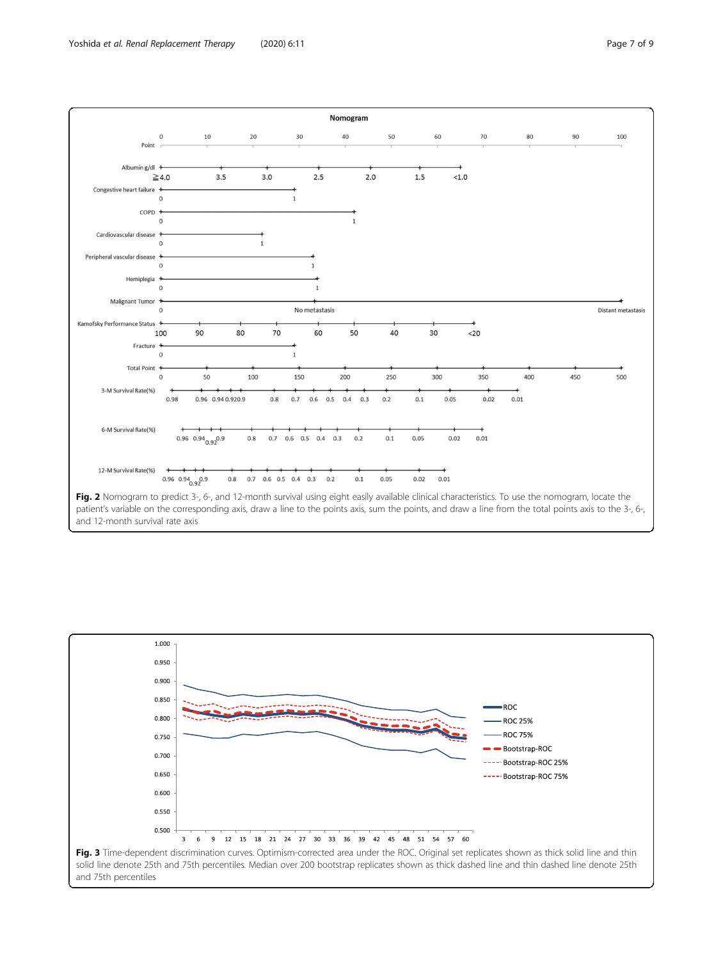<span id="page-6-0"></span>

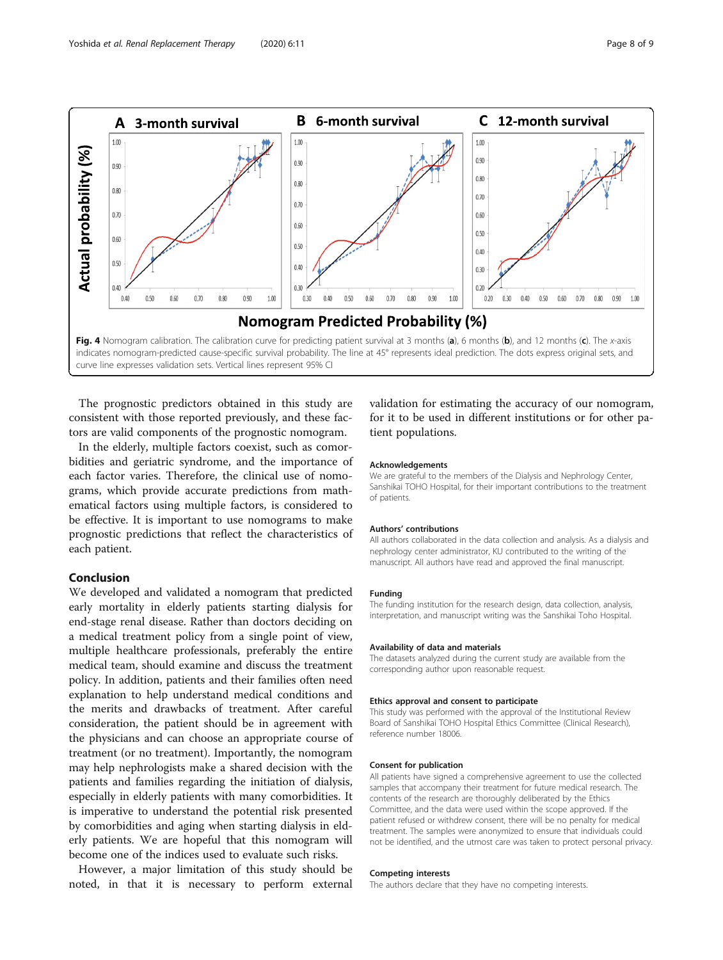<span id="page-7-0"></span>

The prognostic predictors obtained in this study are consistent with those reported previously, and these factors are valid components of the prognostic nomogram.

In the elderly, multiple factors coexist, such as comorbidities and geriatric syndrome, and the importance of each factor varies. Therefore, the clinical use of nomograms, which provide accurate predictions from mathematical factors using multiple factors, is considered to be effective. It is important to use nomograms to make prognostic predictions that reflect the characteristics of each patient.

#### Conclusion

We developed and validated a nomogram that predicted early mortality in elderly patients starting dialysis for end-stage renal disease. Rather than doctors deciding on a medical treatment policy from a single point of view, multiple healthcare professionals, preferably the entire medical team, should examine and discuss the treatment policy. In addition, patients and their families often need explanation to help understand medical conditions and the merits and drawbacks of treatment. After careful consideration, the patient should be in agreement with the physicians and can choose an appropriate course of treatment (or no treatment). Importantly, the nomogram may help nephrologists make a shared decision with the patients and families regarding the initiation of dialysis, especially in elderly patients with many comorbidities. It is imperative to understand the potential risk presented by comorbidities and aging when starting dialysis in elderly patients. We are hopeful that this nomogram will become one of the indices used to evaluate such risks.

However, a major limitation of this study should be noted, in that it is necessary to perform external validation for estimating the accuracy of our nomogram, for it to be used in different institutions or for other patient populations.

#### Acknowledgements

We are grateful to the members of the Dialysis and Nephrology Center, Sanshikai TOHO Hospital, for their important contributions to the treatment of patients.

#### Authors' contributions

All authors collaborated in the data collection and analysis. As a dialysis and nephrology center administrator, KU contributed to the writing of the manuscript. All authors have read and approved the final manuscript.

#### Funding

The funding institution for the research design, data collection, analysis, interpretation, and manuscript writing was the Sanshikai Toho Hospital.

#### Availability of data and materials

The datasets analyzed during the current study are available from the corresponding author upon reasonable request.

#### Ethics approval and consent to participate

This study was performed with the approval of the Institutional Review Board of Sanshikai TOHO Hospital Ethics Committee (Clinical Research), reference number 18006.

#### Consent for publication

All patients have signed a comprehensive agreement to use the collected samples that accompany their treatment for future medical research. The contents of the research are thoroughly deliberated by the Ethics Committee, and the data were used within the scope approved. If the patient refused or withdrew consent, there will be no penalty for medical treatment. The samples were anonymized to ensure that individuals could not be identified, and the utmost care was taken to protect personal privacy.

#### Competing interests

The authors declare that they have no competing interests.